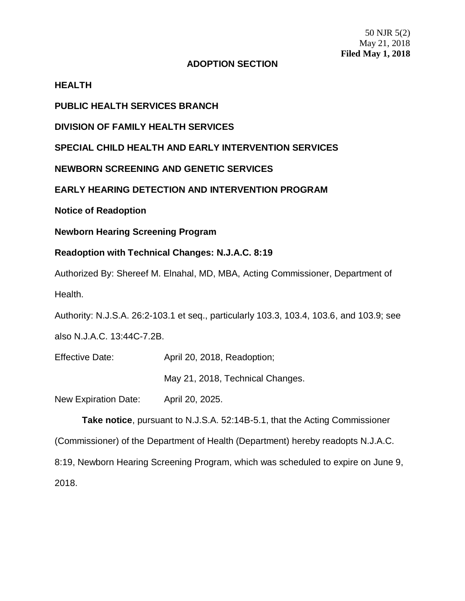50 NJR 5(2) May 21, 2018 **Filed May 1, 2018**

## **ADOPTION SECTION**

### **HEALTH**

**PUBLIC HEALTH SERVICES BRANCH**

**DIVISION OF FAMILY HEALTH SERVICES**

**SPECIAL CHILD HEALTH AND EARLY INTERVENTION SERVICES**

**NEWBORN SCREENING AND GENETIC SERVICES**

**EARLY HEARING DETECTION AND INTERVENTION PROGRAM**

**Notice of Readoption**

**Newborn Hearing Screening Program**

# **Readoption with Technical Changes: N.J.A.C. 8:19**

Authorized By: Shereef M. Elnahal, MD, MBA, Acting Commissioner, Department of Health.

Authority: N.J.S.A. 26:2-103.1 et seq., particularly 103.3, 103.4, 103.6, and 103.9; see

also N.J.A.C. 13:44C-7.2B.

Effective Date: April 20, 2018, Readoption;

May 21, 2018, Technical Changes.

New Expiration Date: April 20, 2025.

**Take notice**, pursuant to N.J.S.A. 52:14B-5.1, that the Acting Commissioner

(Commissioner) of the Department of Health (Department) hereby readopts N.J.A.C.

8:19, Newborn Hearing Screening Program, which was scheduled to expire on June 9, 2018.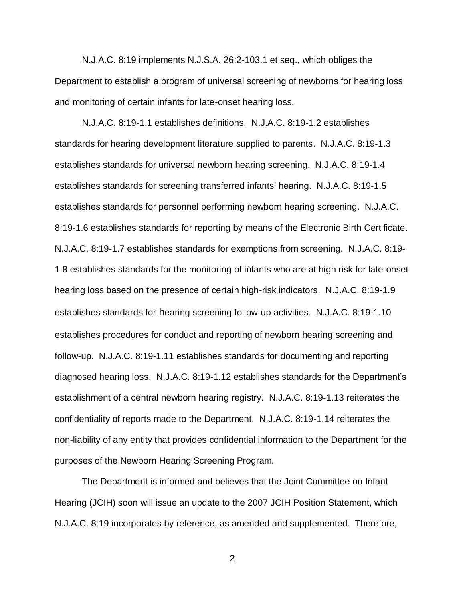N.J.A.C. 8:19 implements N.J.S.A. 26:2-103.1 et seq., which obliges the Department to establish a program of universal screening of newborns for hearing loss and monitoring of certain infants for late-onset hearing loss.

N.J.A.C. 8:19-1.1 establishes definitions. N.J.A.C. 8:19-1.2 establishes standards for hearing development literature supplied to parents. N.J.A.C. 8:19-1.3 establishes standards for universal newborn hearing screening. N.J.A.C. 8:19-1.4 establishes standards for screening transferred infants' hearing. N.J.A.C. 8:19-1.5 establishes standards for personnel performing newborn hearing screening. N.J.A.C. 8:19-1.6 establishes standards for reporting by means of the Electronic Birth Certificate. N.J.A.C. 8:19-1.7 establishes standards for exemptions from screening. N.J.A.C. 8:19- 1.8 establishes standards for the monitoring of infants who are at high risk for late-onset hearing loss based on the presence of certain high-risk indicators. N.J.A.C. 8:19-1.9 establishes standards for hearing screening follow-up activities. N.J.A.C. 8:19-1.10 establishes procedures for conduct and reporting of newborn hearing screening and follow-up. N.J.A.C. 8:19-1.11 establishes standards for documenting and reporting diagnosed hearing loss. N.J.A.C. 8:19-1.12 establishes standards for the Department's establishment of a central newborn hearing registry. N.J.A.C. 8:19-1.13 reiterates the confidentiality of reports made to the Department. N.J.A.C. 8:19-1.14 reiterates the non-liability of any entity that provides confidential information to the Department for the purposes of the Newborn Hearing Screening Program.

The Department is informed and believes that the Joint Committee on Infant Hearing (JCIH) soon will issue an update to the 2007 JCIH Position Statement, which N.J.A.C. 8:19 incorporates by reference, as amended and supplemented. Therefore,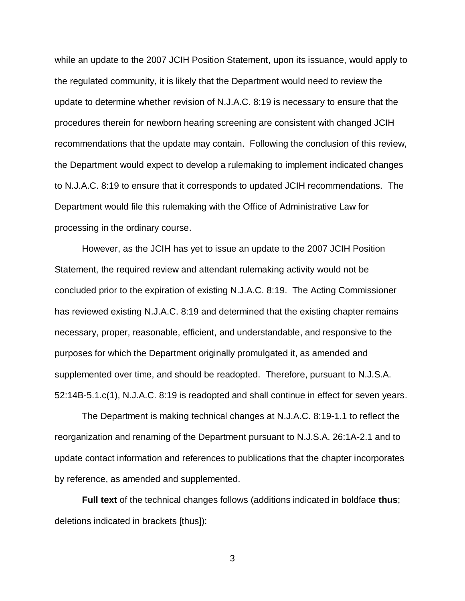while an update to the 2007 JCIH Position Statement, upon its issuance, would apply to the regulated community, it is likely that the Department would need to review the update to determine whether revision of N.J.A.C. 8:19 is necessary to ensure that the procedures therein for newborn hearing screening are consistent with changed JCIH recommendations that the update may contain. Following the conclusion of this review, the Department would expect to develop a rulemaking to implement indicated changes to N.J.A.C. 8:19 to ensure that it corresponds to updated JCIH recommendations. The Department would file this rulemaking with the Office of Administrative Law for processing in the ordinary course.

However, as the JCIH has yet to issue an update to the 2007 JCIH Position Statement, the required review and attendant rulemaking activity would not be concluded prior to the expiration of existing N.J.A.C. 8:19. The Acting Commissioner has reviewed existing N.J.A.C. 8:19 and determined that the existing chapter remains necessary, proper, reasonable, efficient, and understandable, and responsive to the purposes for which the Department originally promulgated it, as amended and supplemented over time, and should be readopted. Therefore, pursuant to N.J.S.A. 52:14B-5.1.c(1), N.J.A.C. 8:19 is readopted and shall continue in effect for seven years.

The Department is making technical changes at N.J.A.C. 8:19-1.1 to reflect the reorganization and renaming of the Department pursuant to N.J.S.A. 26:1A-2.1 and to update contact information and references to publications that the chapter incorporates by reference, as amended and supplemented.

**Full text** of the technical changes follows (additions indicated in boldface **thus**; deletions indicated in brackets [thus]):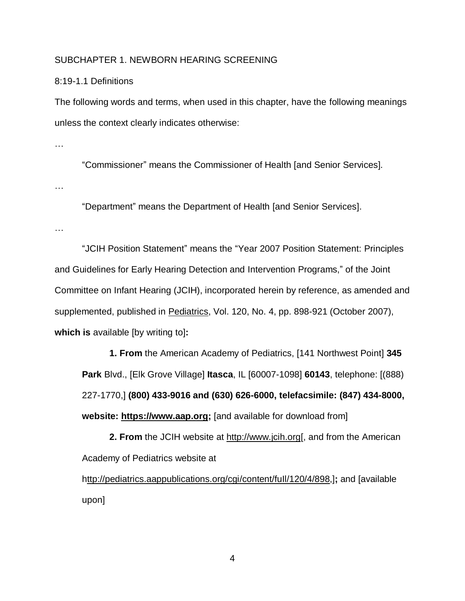#### SUBCHAPTER 1. NEWBORN HEARING SCREENING

#### 8:19-1.1 Definitions

The following words and terms, when used in this chapter, have the following meanings unless the context clearly indicates otherwise:

…

"Commissioner" means the Commissioner of Health [and Senior Services].

…

"Department" means the Department of Health [and Senior Services].

…

"JCIH Position Statement" means the "Year 2007 Position Statement: Principles and Guidelines for Early Hearing Detection and Intervention Programs," of the Joint Committee on Infant Hearing (JCIH), incorporated herein by reference, as amended and supplemented, published in Pediatrics, Vol. 120, No. 4, pp. 898-921 (October 2007), **which is** available [by writing to]**:**

**1. From** the American Academy of Pediatrics, [141 Northwest Point] **345 Park** Blvd., [Elk Grove Village] **Itasca**, IL [60007-1098] **60143**, telephone: [(888) 227-1770,] **(800) 433-9016 and (630) 626-6000, telefacsimile: (847) 434-8000, website: https://www.aap.org;** [and available for download from]

**2. From** the JCIH website at http://www.jcih.org[, and from the American Academy of Pediatrics website at

http://pediatrics.aappublications.org/cgi/content/fuIl/120/4/898,]**;** and [available upon]